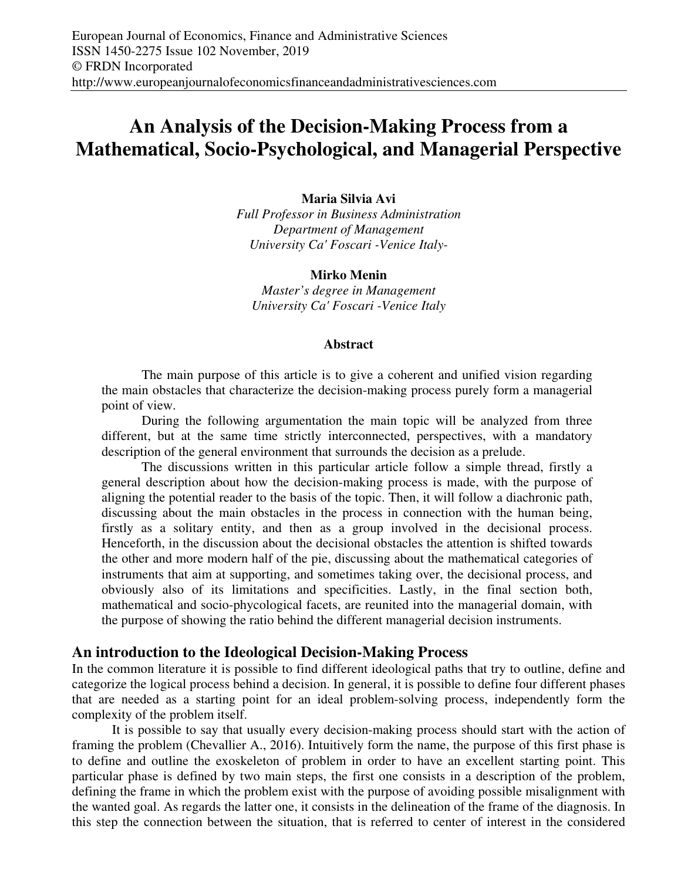# **An Analysis of the Decision-Making Process from a Mathematical, Socio-Psychological, and Managerial Perspective**

## **Maria Silvia Avi**

*Full Professor in Business Administration Department of Management University Ca' Foscari -Venice Italy-*

**Mirko Menin**  *Master's degree in Management University Ca' Foscari -Venice Italy* 

#### **Abstract**

The main purpose of this article is to give a coherent and unified vision regarding the main obstacles that characterize the decision-making process purely form a managerial point of view.

During the following argumentation the main topic will be analyzed from three different, but at the same time strictly interconnected, perspectives, with a mandatory description of the general environment that surrounds the decision as a prelude.

The discussions written in this particular article follow a simple thread, firstly a general description about how the decision-making process is made, with the purpose of aligning the potential reader to the basis of the topic. Then, it will follow a diachronic path, discussing about the main obstacles in the process in connection with the human being, firstly as a solitary entity, and then as a group involved in the decisional process. Henceforth, in the discussion about the decisional obstacles the attention is shifted towards the other and more modern half of the pie, discussing about the mathematical categories of instruments that aim at supporting, and sometimes taking over, the decisional process, and obviously also of its limitations and specificities. Lastly, in the final section both, mathematical and socio-phycological facets, are reunited into the managerial domain, with the purpose of showing the ratio behind the different managerial decision instruments.

## **An introduction to the Ideological Decision-Making Process**

In the common literature it is possible to find different ideological paths that try to outline, define and categorize the logical process behind a decision. In general, it is possible to define four different phases that are needed as a starting point for an ideal problem-solving process, independently form the complexity of the problem itself.

It is possible to say that usually every decision-making process should start with the action of framing the problem (Chevallier A., 2016). Intuitively form the name, the purpose of this first phase is to define and outline the exoskeleton of problem in order to have an excellent starting point. This particular phase is defined by two main steps, the first one consists in a description of the problem, defining the frame in which the problem exist with the purpose of avoiding possible misalignment with the wanted goal. As regards the latter one, it consists in the delineation of the frame of the diagnosis. In this step the connection between the situation, that is referred to center of interest in the considered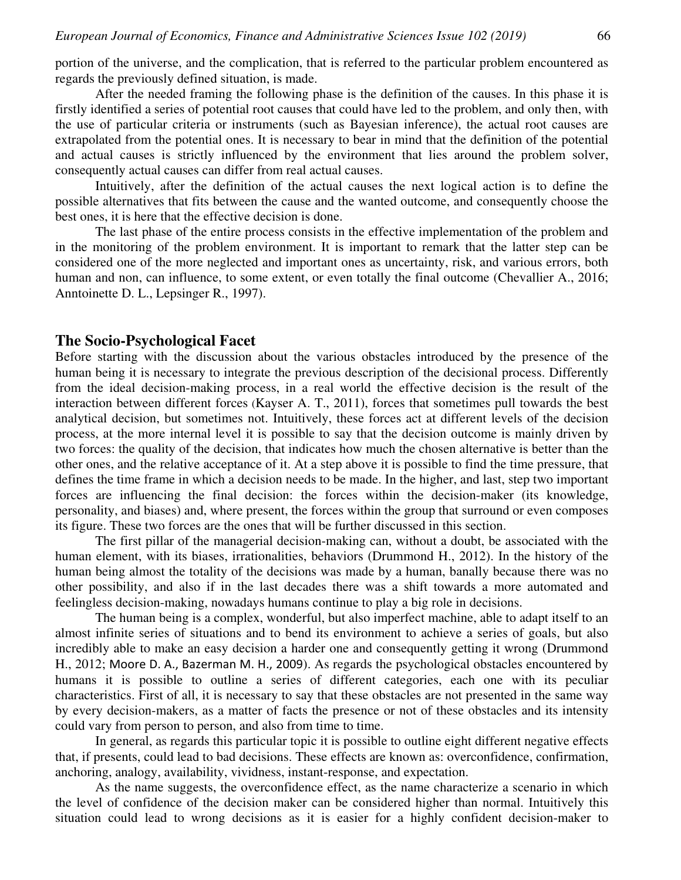portion of the universe, and the complication, that is referred to the particular problem encountered as regards the previously defined situation, is made.

After the needed framing the following phase is the definition of the causes. In this phase it is firstly identified a series of potential root causes that could have led to the problem, and only then, with the use of particular criteria or instruments (such as Bayesian inference), the actual root causes are extrapolated from the potential ones. It is necessary to bear in mind that the definition of the potential and actual causes is strictly influenced by the environment that lies around the problem solver, consequently actual causes can differ from real actual causes.

Intuitively, after the definition of the actual causes the next logical action is to define the possible alternatives that fits between the cause and the wanted outcome, and consequently choose the best ones, it is here that the effective decision is done.

The last phase of the entire process consists in the effective implementation of the problem and in the monitoring of the problem environment. It is important to remark that the latter step can be considered one of the more neglected and important ones as uncertainty, risk, and various errors, both human and non, can influence, to some extent, or even totally the final outcome (Chevallier A., 2016; Anntoinette D. L., Lepsinger R., 1997).

## **The Socio-Psychological Facet**

Before starting with the discussion about the various obstacles introduced by the presence of the human being it is necessary to integrate the previous description of the decisional process. Differently from the ideal decision-making process, in a real world the effective decision is the result of the interaction between different forces (Kayser A. T., 2011), forces that sometimes pull towards the best analytical decision, but sometimes not. Intuitively, these forces act at different levels of the decision process, at the more internal level it is possible to say that the decision outcome is mainly driven by two forces: the quality of the decision, that indicates how much the chosen alternative is better than the other ones, and the relative acceptance of it. At a step above it is possible to find the time pressure, that defines the time frame in which a decision needs to be made. In the higher, and last, step two important forces are influencing the final decision: the forces within the decision-maker (its knowledge, personality, and biases) and, where present, the forces within the group that surround or even composes its figure. These two forces are the ones that will be further discussed in this section.

The first pillar of the managerial decision-making can, without a doubt, be associated with the human element, with its biases, irrationalities, behaviors (Drummond H., 2012). In the history of the human being almost the totality of the decisions was made by a human, banally because there was no other possibility, and also if in the last decades there was a shift towards a more automated and feelingless decision-making, nowadays humans continue to play a big role in decisions.

The human being is a complex, wonderful, but also imperfect machine, able to adapt itself to an almost infinite series of situations and to bend its environment to achieve a series of goals, but also incredibly able to make an easy decision a harder one and consequently getting it wrong (Drummond H., 2012; Moore D. A., Bazerman M. H., 2009). As regards the psychological obstacles encountered by humans it is possible to outline a series of different categories, each one with its peculiar characteristics. First of all, it is necessary to say that these obstacles are not presented in the same way by every decision-makers, as a matter of facts the presence or not of these obstacles and its intensity could vary from person to person, and also from time to time.

In general, as regards this particular topic it is possible to outline eight different negative effects that, if presents, could lead to bad decisions. These effects are known as: overconfidence, confirmation, anchoring, analogy, availability, vividness, instant-response, and expectation.

As the name suggests, the overconfidence effect, as the name characterize a scenario in which the level of confidence of the decision maker can be considered higher than normal. Intuitively this situation could lead to wrong decisions as it is easier for a highly confident decision-maker to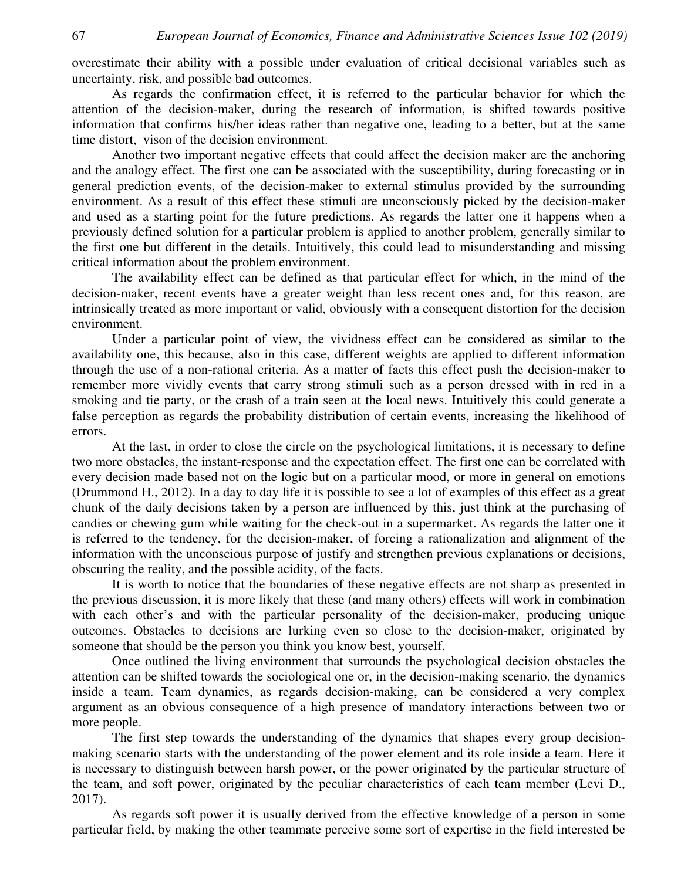overestimate their ability with a possible under evaluation of critical decisional variables such as uncertainty, risk, and possible bad outcomes.

As regards the confirmation effect, it is referred to the particular behavior for which the attention of the decision-maker, during the research of information, is shifted towards positive information that confirms his/her ideas rather than negative one, leading to a better, but at the same time distort, vison of the decision environment.

Another two important negative effects that could affect the decision maker are the anchoring and the analogy effect. The first one can be associated with the susceptibility, during forecasting or in general prediction events, of the decision-maker to external stimulus provided by the surrounding environment. As a result of this effect these stimuli are unconsciously picked by the decision-maker and used as a starting point for the future predictions. As regards the latter one it happens when a previously defined solution for a particular problem is applied to another problem, generally similar to the first one but different in the details. Intuitively, this could lead to misunderstanding and missing critical information about the problem environment.

The availability effect can be defined as that particular effect for which, in the mind of the decision-maker, recent events have a greater weight than less recent ones and, for this reason, are intrinsically treated as more important or valid, obviously with a consequent distortion for the decision environment.

Under a particular point of view, the vividness effect can be considered as similar to the availability one, this because, also in this case, different weights are applied to different information through the use of a non-rational criteria. As a matter of facts this effect push the decision-maker to remember more vividly events that carry strong stimuli such as a person dressed with in red in a smoking and tie party, or the crash of a train seen at the local news. Intuitively this could generate a false perception as regards the probability distribution of certain events, increasing the likelihood of errors.

At the last, in order to close the circle on the psychological limitations, it is necessary to define two more obstacles, the instant-response and the expectation effect. The first one can be correlated with every decision made based not on the logic but on a particular mood, or more in general on emotions (Drummond H., 2012). In a day to day life it is possible to see a lot of examples of this effect as a great chunk of the daily decisions taken by a person are influenced by this, just think at the purchasing of candies or chewing gum while waiting for the check-out in a supermarket. As regards the latter one it is referred to the tendency, for the decision-maker, of forcing a rationalization and alignment of the information with the unconscious purpose of justify and strengthen previous explanations or decisions, obscuring the reality, and the possible acidity, of the facts.

It is worth to notice that the boundaries of these negative effects are not sharp as presented in the previous discussion, it is more likely that these (and many others) effects will work in combination with each other's and with the particular personality of the decision-maker, producing unique outcomes. Obstacles to decisions are lurking even so close to the decision-maker, originated by someone that should be the person you think you know best, yourself.

Once outlined the living environment that surrounds the psychological decision obstacles the attention can be shifted towards the sociological one or, in the decision-making scenario, the dynamics inside a team. Team dynamics, as regards decision-making, can be considered a very complex argument as an obvious consequence of a high presence of mandatory interactions between two or more people.

The first step towards the understanding of the dynamics that shapes every group decisionmaking scenario starts with the understanding of the power element and its role inside a team. Here it is necessary to distinguish between harsh power, or the power originated by the particular structure of the team, and soft power, originated by the peculiar characteristics of each team member (Levi D., 2017).

As regards soft power it is usually derived from the effective knowledge of a person in some particular field, by making the other teammate perceive some sort of expertise in the field interested be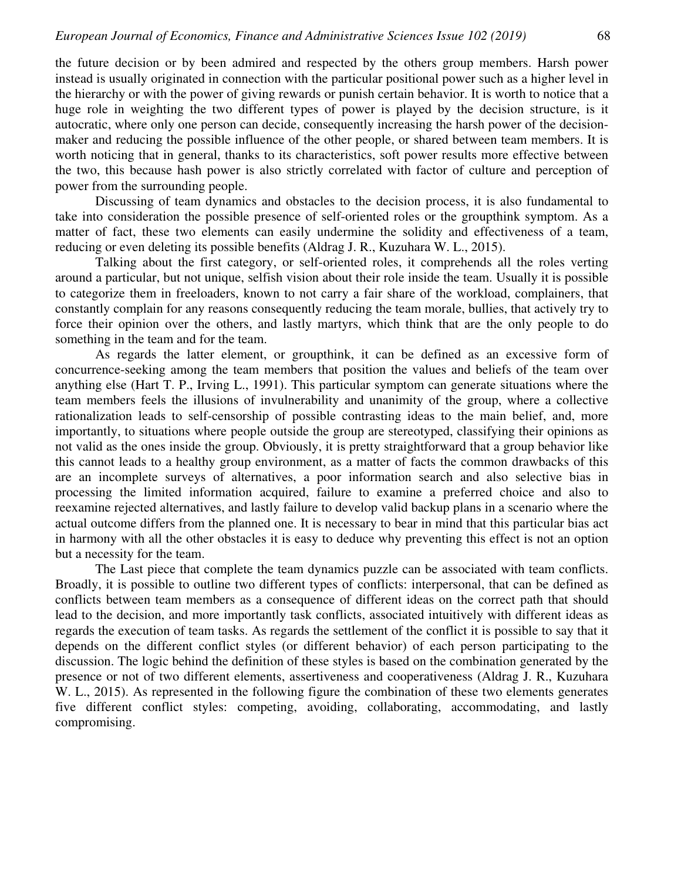the future decision or by been admired and respected by the others group members. Harsh power instead is usually originated in connection with the particular positional power such as a higher level in the hierarchy or with the power of giving rewards or punish certain behavior. It is worth to notice that a huge role in weighting the two different types of power is played by the decision structure, is it autocratic, where only one person can decide, consequently increasing the harsh power of the decisionmaker and reducing the possible influence of the other people, or shared between team members. It is worth noticing that in general, thanks to its characteristics, soft power results more effective between the two, this because hash power is also strictly correlated with factor of culture and perception of power from the surrounding people.

Discussing of team dynamics and obstacles to the decision process, it is also fundamental to take into consideration the possible presence of self-oriented roles or the groupthink symptom. As a matter of fact, these two elements can easily undermine the solidity and effectiveness of a team, reducing or even deleting its possible benefits (Aldrag J. R., Kuzuhara W. L., 2015).

Talking about the first category, or self-oriented roles, it comprehends all the roles verting around a particular, but not unique, selfish vision about their role inside the team. Usually it is possible to categorize them in freeloaders, known to not carry a fair share of the workload, complainers, that constantly complain for any reasons consequently reducing the team morale, bullies, that actively try to force their opinion over the others, and lastly martyrs, which think that are the only people to do something in the team and for the team.

As regards the latter element, or groupthink, it can be defined as an excessive form of concurrence-seeking among the team members that position the values and beliefs of the team over anything else (Hart T. P., Irving L., 1991). This particular symptom can generate situations where the team members feels the illusions of invulnerability and unanimity of the group, where a collective rationalization leads to self-censorship of possible contrasting ideas to the main belief, and, more importantly, to situations where people outside the group are stereotyped, classifying their opinions as not valid as the ones inside the group. Obviously, it is pretty straightforward that a group behavior like this cannot leads to a healthy group environment, as a matter of facts the common drawbacks of this are an incomplete surveys of alternatives, a poor information search and also selective bias in processing the limited information acquired, failure to examine a preferred choice and also to reexamine rejected alternatives, and lastly failure to develop valid backup plans in a scenario where the actual outcome differs from the planned one. It is necessary to bear in mind that this particular bias act in harmony with all the other obstacles it is easy to deduce why preventing this effect is not an option but a necessity for the team.

The Last piece that complete the team dynamics puzzle can be associated with team conflicts. Broadly, it is possible to outline two different types of conflicts: interpersonal, that can be defined as conflicts between team members as a consequence of different ideas on the correct path that should lead to the decision, and more importantly task conflicts, associated intuitively with different ideas as regards the execution of team tasks. As regards the settlement of the conflict it is possible to say that it depends on the different conflict styles (or different behavior) of each person participating to the discussion. The logic behind the definition of these styles is based on the combination generated by the presence or not of two different elements, assertiveness and cooperativeness (Aldrag J. R., Kuzuhara W. L., 2015). As represented in the following figure the combination of these two elements generates five different conflict styles: competing, avoiding, collaborating, accommodating, and lastly compromising.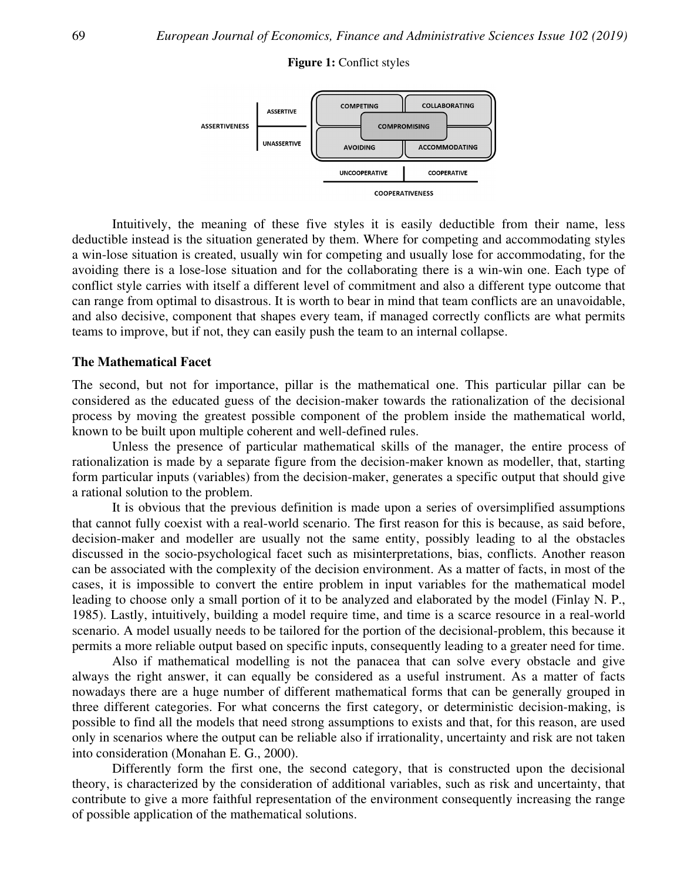#### **Figure 1:** Conflict styles



Intuitively, the meaning of these five styles it is easily deductible from their name, less deductible instead is the situation generated by them. Where for competing and accommodating styles a win-lose situation is created, usually win for competing and usually lose for accommodating, for the avoiding there is a lose conflict style carries with itself a different level of commitment and also a different type outcome that can range from optimal to disastrous. It is worth to bear in mind that team conflicts are an unavoidable, and also decisive, component that shapes every team, if managed correctly conflicts are what permits teams to improve, but if not, they can easily push the team to an internal collapse. Intuitively, the meaning of these five styles it is easily deductible from their name, less<br>ible instead is the situation generated by them. Where for competing and accommodating styles<br>lose situation is created, usually w conflict style carries with itself a different level of commitment and also a different type outcome<br>can range from optimal to disastrous. It is worth to bear in mind that team conflicts are an unavoida<br>and also decisive, lose situation and for the collaborating there is a w<br>i itself a different level of commitment and also a d<br>o disastrous. It is worth to bear in mind that team co<br>onent that shapes every team, if managed correctly<br>not, the

#### **The Mathematical Facet**

The second, but not for importance, pillar is the mathematical one. This particular pillar can be considered as the educated guess of the decision-maker towards the rationalization of the decisional process by moving the greatest possible component of the problem inside the mathematical world, known to be built upon multiple coherent and well-defined rules. maker towards the rationalization of the decisional<br>ent of the problem inside the mathematical world,<br>defined rules.<br>atical skills of the manager, the entire process of<br>he decision-maker known as modeller, that, starting

Unless the presence of particular mathematical skills of the manager, the entire process of rationalization is made by a separate figure from the decision form particular inputs (variables) from the decision-maker, generates a specific output that should give a rational solution to the problem. m-maker known as modeller, that, starting<br>enerates a specific output that should give<br>on a series of oversimplified assumptions<br>reason for this is because, as said before,

It is obvious that the previous definition is made upon a series of oversimplified assumptions that cannot fully coexist with a real-world scenario. The first reason for this is because, as said before, decision-maker and modeller are usually not the same entity, possibly leading to al the obstacles discussed in the socio-psychological facet such as misinterpretations, bias, conflicts. Another reason can be associated with the complexity of the decision environment. As a matter of facts, in most of the cases, it is impossible to convert the entire problem in input variables for the mathematical model leading to choose only a small portion of it to be analyzed and elaborated by the model (Finlay N. P., 1985). Lastly, intuitively, building a model require time, and time is a scarce resource in a real-world scenario. A model usually needs to be tailored for the portion of the decisional-problem, this because it permits a more reliable output based on specific inputs, consequently leading to a greater need for time. s by moving the greatest possible component of the problem inside the mathematical world, to be built upon multiple coherent and well-defined rules.<br>
Unless the presence of particular mathematical skills of the manager, th Unless the presence of particular mathematical skills of the manager, the entire process of alization is made by a separate figure from the decision-maker known as modeller, that, starting particular inputs (variables) fro Formation and Finance Finance and Administrative Sciences Issue 102 (2019)<br> **Figure 1:** Conflict styles<br> **Somewood Economics Consumers**<br> **Examplementally density and a consumer and a system of the system of the system of t** psychological facet such as misinterpretations, bias, conflicts. Another reason<br>the complexity of the decision environment. As a matter of facts, in most of the<br>to convert the entire problem in input variables for the math Iy win for competing and usually lose for accommodating, for the mand of the collaborating there is a win-win one. Each type of permat In and for the collaborating there is a win-win one. Each type of Ferent level of commi -win one.<br>
erent type<br>
icts are an<br>
inflicts are<br>
e.<br>
particular<br>
zation of<br>
mather<br>
r, the ent<br>
modeller<br>
output th<br>
rsimplifie<br>
because, an<br>
ing to al<br>
onflicts. A<br>
r of facts,<br>
he model<br>
resource i<br>
problem,

Also if mathematical modelling is not the panacea that can solve every obstacle and give always the right answer, it can equally be considered as a useful instrument. As a matter of facts nowadays there are a huge number of different mathematical forms that can be generally grouped in three different categories. For what concerns the first category, or deterministic decision-making, is possible to find all the models that n only in scenarios where the output can be reliable also if irrationality, uncertainty and risk are not taken into consideration (Monahan E. G., 2000). I Lastly, intuitively, building a model require time, and time is a scarce resprio. A model usually needs to be tailored for the portion of the decisional-proposes as a more reliable output based on specific inputs, conseq making, is<br>n, are used<br>e not taken<br>decisional<br>tainty, that<br>g the range

Differently form the first one, the second category, that is constructed upon the decisional theory, is characterized by the consideration of additional variables, such as risk and uncertainty, that contribute to give a more faithful representation of the environment consequently increasing the range of possible application of the mathematical solutions.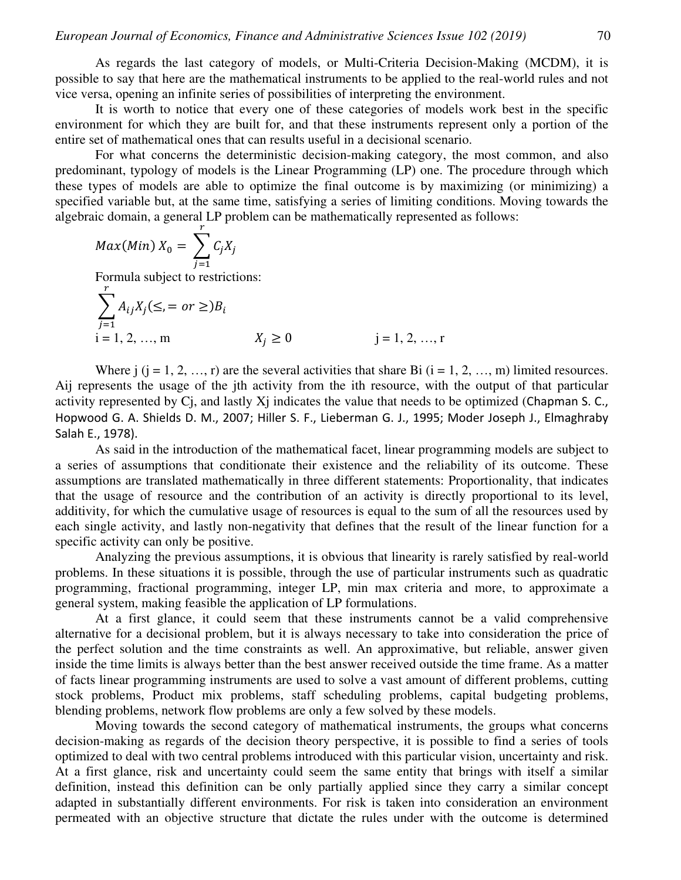As regards the last category of models, or Multi-Criteria Decision-Making (MCDM), it is possible to say that here are the mathematical instruments to be applied to the real-world rules and not vice versa, opening an infinite series of possibilities of interpreting the environment.

It is worth to notice that every one of these categories of models work best in the specific environment for which they are built for, and that these instruments represent only a portion of the entire set of mathematical ones that can results useful in a decisional scenario.

For what concerns the deterministic decision-making category, the most common, and also predominant, typology of models is the Linear Programming (LP) one. The procedure through which these types of models are able to optimize the final outcome is by maximizing (or minimizing) a specified variable but, at the same time, satisfying a series of limiting conditions. Moving towards the algebraic domain, a general LP problem can be mathematically represented as follows:

$$
Max(Min) X_0 = \sum_{j=1}^r C_j X_j
$$

Formula subject to restrictions:

$$
\sum_{j=1}^{r} A_{ij} X_j (\leq, = or \geq) B_i
$$
  
i = 1, 2, ..., m  

$$
X_j \geq 0
$$
  
j = 1, 2, ..., r

Where  $j$  ( $j = 1, 2, ..., r$ ) are the several activities that share Bi ( $i = 1, 2, ..., m$ ) limited resources. Aij represents the usage of the jth activity from the ith resource, with the output of that particular activity represented by Cj, and lastly Xj indicates the value that needs to be optimized (Chapman S. C., Hopwood G. A. Shields D. M., 2007; Hiller S. F., Lieberman G. J., 1995; Moder Joseph J., Elmaghraby Salah E., 1978).

As said in the introduction of the mathematical facet, linear programming models are subject to a series of assumptions that conditionate their existence and the reliability of its outcome. These assumptions are translated mathematically in three different statements: Proportionality, that indicates that the usage of resource and the contribution of an activity is directly proportional to its level, additivity, for which the cumulative usage of resources is equal to the sum of all the resources used by each single activity, and lastly non-negativity that defines that the result of the linear function for a specific activity can only be positive.

Analyzing the previous assumptions, it is obvious that linearity is rarely satisfied by real-world problems. In these situations it is possible, through the use of particular instruments such as quadratic programming, fractional programming, integer LP, min max criteria and more, to approximate a general system, making feasible the application of LP formulations.

At a first glance, it could seem that these instruments cannot be a valid comprehensive alternative for a decisional problem, but it is always necessary to take into consideration the price of the perfect solution and the time constraints as well. An approximative, but reliable, answer given inside the time limits is always better than the best answer received outside the time frame. As a matter of facts linear programming instruments are used to solve a vast amount of different problems, cutting stock problems, Product mix problems, staff scheduling problems, capital budgeting problems, blending problems, network flow problems are only a few solved by these models.

Moving towards the second category of mathematical instruments, the groups what concerns decision-making as regards of the decision theory perspective, it is possible to find a series of tools optimized to deal with two central problems introduced with this particular vision, uncertainty and risk. At a first glance, risk and uncertainty could seem the same entity that brings with itself a similar definition, instead this definition can be only partially applied since they carry a similar concept adapted in substantially different environments. For risk is taken into consideration an environment permeated with an objective structure that dictate the rules under with the outcome is determined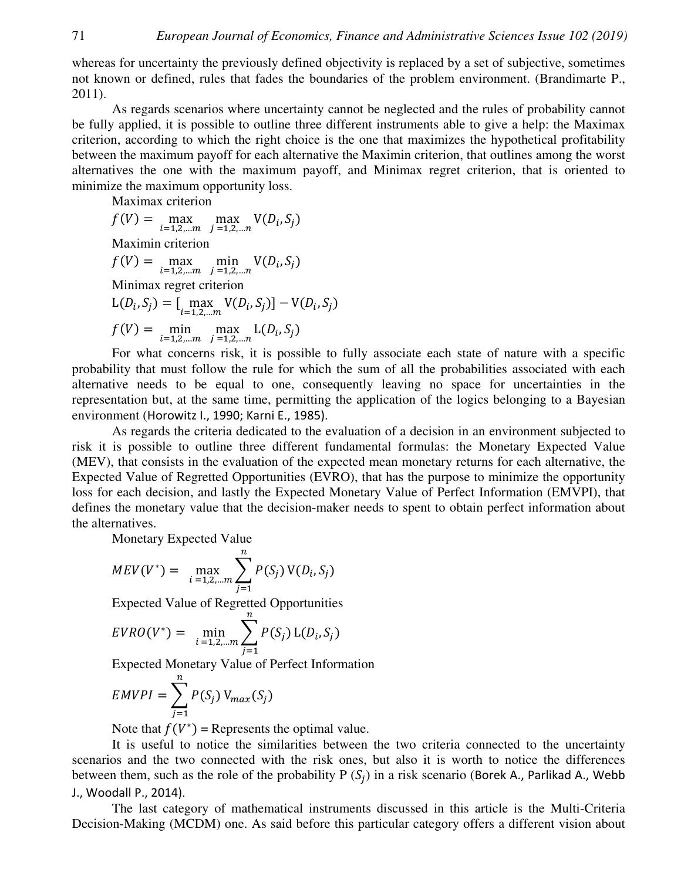whereas for uncertainty the previously defined objectivity is replaced by a set of subjective, sometimes not known or defined, rules that fades the boundaries of the problem environment. (Brandimarte P., 2011).

As regards scenarios where uncertainty cannot be neglected and the rules of probability cannot be fully applied, it is possible to outline three different instruments able to give a help: the Maximax criterion, according to which the right choice is the one that maximizes the hypothetical profitability between the maximum payoff for each alternative the Maximin criterion, that outlines among the worst alternatives the one with the maximum payoff, and Minimax regret criterion, that is oriented to minimize the maximum opportunity loss.

Maximax criterion

$$
f(V) = \max_{i=1,2,...m} \max_{j=1,2,...n} V(D_i, S_j)
$$
  
Maximin criterion  

$$
f(V) = \max_{i=1,2,...m} \min_{j=1,2,...n} V(D_i, S_j)
$$
  
Minimax regret criterion  

$$
L(D_i, S_j) = [\max_{i=1,2,...m} V(D_i, S_j)] - V(D_i, S_j)
$$

$$
f(V) = \min_{i=1,2,...m} \max_{j=1,2,...n} L(D_i, S_j)
$$

For what concerns risk, it is possible to fully associate each state of nature with a specific probability that must follow the rule for which the sum of all the probabilities associated with each alternative needs to be equal to one, consequently leaving no space for uncertainties in the representation but, at the same time, permitting the application of the logics belonging to a Bayesian environment (Horowitz I., 1990; Karni E., 1985).

As regards the criteria dedicated to the evaluation of a decision in an environment subjected to risk it is possible to outline three different fundamental formulas: the Monetary Expected Value (MEV), that consists in the evaluation of the expected mean monetary returns for each alternative, the Expected Value of Regretted Opportunities (EVRO), that has the purpose to minimize the opportunity loss for each decision, and lastly the Expected Monetary Value of Perfect Information (EMVPI), that defines the monetary value that the decision-maker needs to spent to obtain perfect information about the alternatives.

Monetary Expected Value

$$
MEV(V^*) = \max_{i=1,2,...m} \sum_{j=1}^{n} P(S_j) V(D_i, S_j)
$$

Expected Value of Regretted Opportunities

$$
EVRO(V^*) = \min_{i=1,2,...m} \sum_{j=1}^{n} P(S_j) \, \mathcal{L}(D_i, S_j)
$$

Expected Monetary Value of Perfect Information

$$
EMVPI = \sum_{j=1}^{n} P(S_j) V_{max}(S_j)
$$

Note that  $f(V^*)$  = Represents the optimal value.

It is useful to notice the similarities between the two criteria connected to the uncertainty scenarios and the two connected with the risk ones, but also it is worth to notice the differences between them, such as the role of the probability  $P(S_j)$  in a risk scenario (Borek A., Parlikad A., Webb J., Woodall P., 2014).

The last category of mathematical instruments discussed in this article is the Multi-Criteria Decision-Making (MCDM) one. As said before this particular category offers a different vision about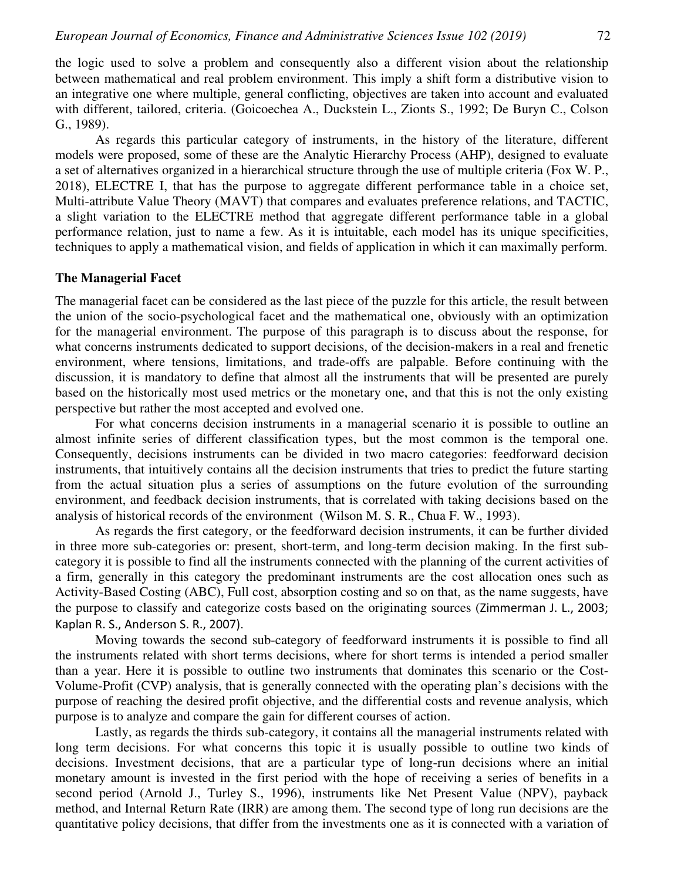the logic used to solve a problem and consequently also a different vision about the relationship between mathematical and real problem environment. This imply a shift form a distributive vision to an integrative one where multiple, general conflicting, objectives are taken into account and evaluated with different, tailored, criteria. (Goicoechea A., Duckstein L., Zionts S., 1992; De Buryn C., Colson G., 1989).

As regards this particular category of instruments, in the history of the literature, different models were proposed, some of these are the Analytic Hierarchy Process (AHP), designed to evaluate a set of alternatives organized in a hierarchical structure through the use of multiple criteria (Fox W. P., 2018), ELECTRE I, that has the purpose to aggregate different performance table in a choice set, Multi-attribute Value Theory (MAVT) that compares and evaluates preference relations, and TACTIC, a slight variation to the ELECTRE method that aggregate different performance table in a global performance relation, just to name a few. As it is intuitable, each model has its unique specificities, techniques to apply a mathematical vision, and fields of application in which it can maximally perform.

#### **The Managerial Facet**

The managerial facet can be considered as the last piece of the puzzle for this article, the result between the union of the socio-psychological facet and the mathematical one, obviously with an optimization for the managerial environment. The purpose of this paragraph is to discuss about the response, for what concerns instruments dedicated to support decisions, of the decision-makers in a real and frenetic environment, where tensions, limitations, and trade-offs are palpable. Before continuing with the discussion, it is mandatory to define that almost all the instruments that will be presented are purely based on the historically most used metrics or the monetary one, and that this is not the only existing perspective but rather the most accepted and evolved one.

For what concerns decision instruments in a managerial scenario it is possible to outline an almost infinite series of different classification types, but the most common is the temporal one. Consequently, decisions instruments can be divided in two macro categories: feedforward decision instruments, that intuitively contains all the decision instruments that tries to predict the future starting from the actual situation plus a series of assumptions on the future evolution of the surrounding environment, and feedback decision instruments, that is correlated with taking decisions based on the analysis of historical records of the environment (Wilson M. S. R., Chua F. W., 1993).

As regards the first category, or the feedforward decision instruments, it can be further divided in three more sub-categories or: present, short-term, and long-term decision making. In the first subcategory it is possible to find all the instruments connected with the planning of the current activities of a firm, generally in this category the predominant instruments are the cost allocation ones such as Activity-Based Costing (ABC), Full cost, absorption costing and so on that, as the name suggests, have the purpose to classify and categorize costs based on the originating sources (Zimmerman J. L., 2003; Kaplan R. S., Anderson S. R., 2007).

Moving towards the second sub-category of feedforward instruments it is possible to find all the instruments related with short terms decisions, where for short terms is intended a period smaller than a year. Here it is possible to outline two instruments that dominates this scenario or the Cost-Volume-Profit (CVP) analysis, that is generally connected with the operating plan's decisions with the purpose of reaching the desired profit objective, and the differential costs and revenue analysis, which purpose is to analyze and compare the gain for different courses of action.

Lastly, as regards the thirds sub-category, it contains all the managerial instruments related with long term decisions. For what concerns this topic it is usually possible to outline two kinds of decisions. Investment decisions, that are a particular type of long-run decisions where an initial monetary amount is invested in the first period with the hope of receiving a series of benefits in a second period (Arnold J., Turley S., 1996), instruments like Net Present Value (NPV), payback method, and Internal Return Rate (IRR) are among them. The second type of long run decisions are the quantitative policy decisions, that differ from the investments one as it is connected with a variation of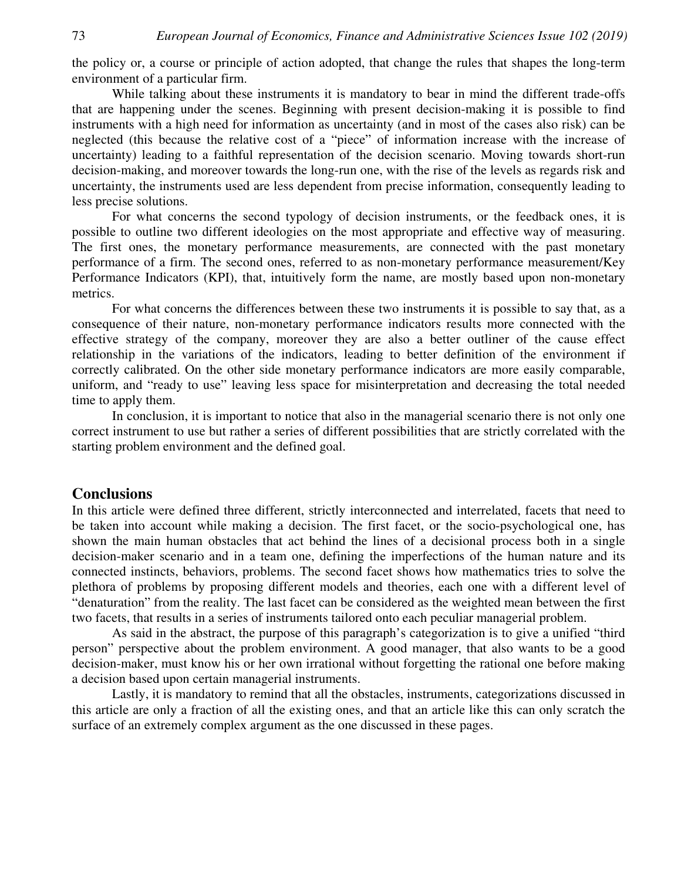the policy or, a course or principle of action adopted, that change the rules that shapes the long-term environment of a particular firm.

While talking about these instruments it is mandatory to bear in mind the different trade-offs that are happening under the scenes. Beginning with present decision-making it is possible to find instruments with a high need for information as uncertainty (and in most of the cases also risk) can be neglected (this because the relative cost of a "piece" of information increase with the increase of uncertainty) leading to a faithful representation of the decision scenario. Moving towards short-run decision-making, and moreover towards the long-run one, with the rise of the levels as regards risk and uncertainty, the instruments used are less dependent from precise information, consequently leading to less precise solutions.

For what concerns the second typology of decision instruments, or the feedback ones, it is possible to outline two different ideologies on the most appropriate and effective way of measuring. The first ones, the monetary performance measurements, are connected with the past monetary performance of a firm. The second ones, referred to as non-monetary performance measurement/Key Performance Indicators (KPI), that, intuitively form the name, are mostly based upon non-monetary metrics.

For what concerns the differences between these two instruments it is possible to say that, as a consequence of their nature, non-monetary performance indicators results more connected with the effective strategy of the company, moreover they are also a better outliner of the cause effect relationship in the variations of the indicators, leading to better definition of the environment if correctly calibrated. On the other side monetary performance indicators are more easily comparable, uniform, and "ready to use" leaving less space for misinterpretation and decreasing the total needed time to apply them.

In conclusion, it is important to notice that also in the managerial scenario there is not only one correct instrument to use but rather a series of different possibilities that are strictly correlated with the starting problem environment and the defined goal.

### **Conclusions**

In this article were defined three different, strictly interconnected and interrelated, facets that need to be taken into account while making a decision. The first facet, or the socio-psychological one, has shown the main human obstacles that act behind the lines of a decisional process both in a single decision-maker scenario and in a team one, defining the imperfections of the human nature and its connected instincts, behaviors, problems. The second facet shows how mathematics tries to solve the plethora of problems by proposing different models and theories, each one with a different level of "denaturation" from the reality. The last facet can be considered as the weighted mean between the first two facets, that results in a series of instruments tailored onto each peculiar managerial problem.

As said in the abstract, the purpose of this paragraph's categorization is to give a unified "third person" perspective about the problem environment. A good manager, that also wants to be a good decision-maker, must know his or her own irrational without forgetting the rational one before making a decision based upon certain managerial instruments.

Lastly, it is mandatory to remind that all the obstacles, instruments, categorizations discussed in this article are only a fraction of all the existing ones, and that an article like this can only scratch the surface of an extremely complex argument as the one discussed in these pages.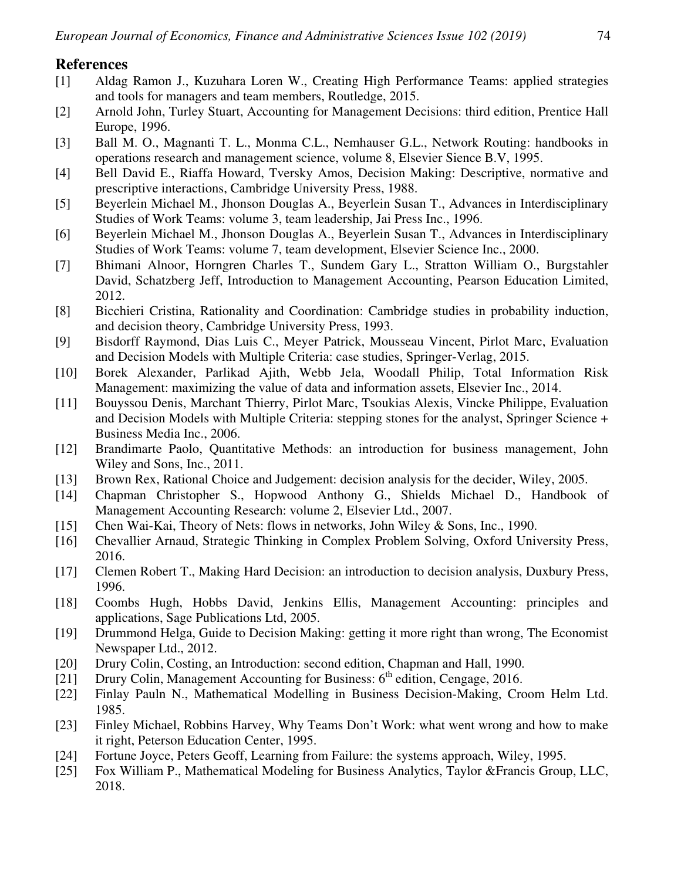## **References**

- [1] Aldag Ramon J., Kuzuhara Loren W., Creating High Performance Teams: applied strategies and tools for managers and team members, Routledge, 2015.
- [2] Arnold John, Turley Stuart, Accounting for Management Decisions: third edition, Prentice Hall Europe, 1996.
- [3] Ball M. O., Magnanti T. L., Monma C.L., Nemhauser G.L., Network Routing: handbooks in operations research and management science, volume 8, Elsevier Sience B.V, 1995.
- [4] Bell David E., Riaffa Howard, Tversky Amos, Decision Making: Descriptive, normative and prescriptive interactions, Cambridge University Press, 1988.
- [5] Beyerlein Michael M., Jhonson Douglas A., Beyerlein Susan T., Advances in Interdisciplinary Studies of Work Teams: volume 3, team leadership, Jai Press Inc., 1996.
- [6] Beyerlein Michael M., Jhonson Douglas A., Beyerlein Susan T., Advances in Interdisciplinary Studies of Work Teams: volume 7, team development, Elsevier Science Inc., 2000.
- [7] Bhimani Alnoor, Horngren Charles T., Sundem Gary L., Stratton William O., Burgstahler David, Schatzberg Jeff, Introduction to Management Accounting, Pearson Education Limited, 2012.
- [8] Bicchieri Cristina, Rationality and Coordination: Cambridge studies in probability induction, and decision theory, Cambridge University Press, 1993.
- [9] Bisdorff Raymond, Dias Luis C., Meyer Patrick, Mousseau Vincent, Pirlot Marc, Evaluation and Decision Models with Multiple Criteria: case studies, Springer-Verlag, 2015.
- [10] Borek Alexander, Parlikad Ajith, Webb Jela, Woodall Philip, Total Information Risk Management: maximizing the value of data and information assets, Elsevier Inc., 2014.
- [11] Bouyssou Denis, Marchant Thierry, Pirlot Marc, Tsoukias Alexis, Vincke Philippe, Evaluation and Decision Models with Multiple Criteria: stepping stones for the analyst, Springer Science + Business Media Inc., 2006.
- [12] Brandimarte Paolo, Quantitative Methods: an introduction for business management, John Wiley and Sons, Inc., 2011.
- [13] Brown Rex, Rational Choice and Judgement: decision analysis for the decider, Wiley, 2005.
- [14] Chapman Christopher S., Hopwood Anthony G., Shields Michael D., Handbook of Management Accounting Research: volume 2, Elsevier Ltd., 2007.
- [15] Chen Wai-Kai, Theory of Nets: flows in networks, John Wiley & Sons, Inc., 1990.
- [16] Chevallier Arnaud, Strategic Thinking in Complex Problem Solving, Oxford University Press, 2016.
- [17] Clemen Robert T., Making Hard Decision: an introduction to decision analysis, Duxbury Press, 1996.
- [18] Coombs Hugh, Hobbs David, Jenkins Ellis, Management Accounting: principles and applications, Sage Publications Ltd, 2005.
- [19] Drummond Helga, Guide to Decision Making: getting it more right than wrong, The Economist Newspaper Ltd., 2012.
- [20] Drury Colin, Costing, an Introduction: second edition, Chapman and Hall, 1990.
- [21] Drury Colin, Management Accounting for Business:  $6<sup>th</sup>$  edition, Cengage, 2016.
- [22] Finlay Pauln N., Mathematical Modelling in Business Decision-Making, Croom Helm Ltd. 1985.
- [23] Finley Michael, Robbins Harvey, Why Teams Don't Work: what went wrong and how to make it right, Peterson Education Center, 1995.
- [24] Fortune Joyce, Peters Geoff, Learning from Failure: the systems approach, Wiley, 1995.
- [25] Fox William P., Mathematical Modeling for Business Analytics, Taylor &Francis Group, LLC, 2018.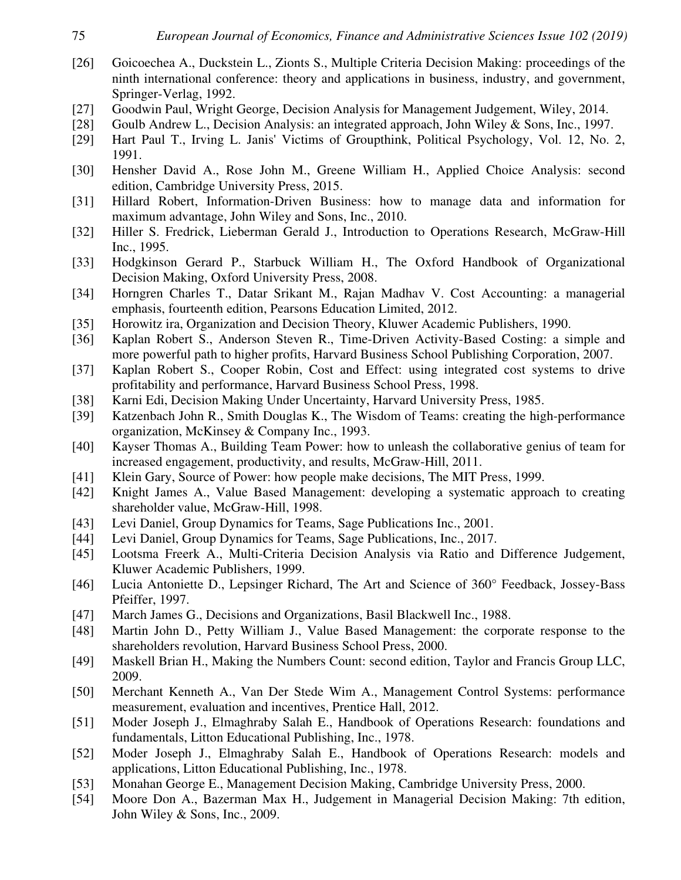- [26] Goicoechea A., Duckstein L., Zionts S., Multiple Criteria Decision Making: proceedings of the ninth international conference: theory and applications in business, industry, and government, Springer-Verlag, 1992.
- [27] Goodwin Paul, Wright George, Decision Analysis for Management Judgement, Wiley, 2014.
- [28] Goulb Andrew L., Decision Analysis: an integrated approach, John Wiley & Sons, Inc., 1997.
- [29] Hart Paul T., Irving L. Janis' Victims of Groupthink, Political Psychology, Vol. 12, No. 2, 1991.
- [30] Hensher David A., Rose John M., Greene William H., Applied Choice Analysis: second edition, Cambridge University Press, 2015.
- [31] Hillard Robert, Information-Driven Business: how to manage data and information for maximum advantage, John Wiley and Sons, Inc., 2010.
- [32] Hiller S. Fredrick, Lieberman Gerald J., Introduction to Operations Research, McGraw-Hill Inc., 1995.
- [33] Hodgkinson Gerard P., Starbuck William H., The Oxford Handbook of Organizational Decision Making, Oxford University Press, 2008.
- [34] Horngren Charles T., Datar Srikant M., Rajan Madhav V. Cost Accounting: a managerial emphasis, fourteenth edition, Pearsons Education Limited, 2012.
- [35] Horowitz ira, Organization and Decision Theory, Kluwer Academic Publishers, 1990.
- [36] Kaplan Robert S., Anderson Steven R., Time-Driven Activity-Based Costing: a simple and more powerful path to higher profits, Harvard Business School Publishing Corporation, 2007.
- [37] Kaplan Robert S., Cooper Robin, Cost and Effect: using integrated cost systems to drive profitability and performance, Harvard Business School Press, 1998.
- [38] Karni Edi, Decision Making Under Uncertainty, Harvard University Press, 1985.
- [39] Katzenbach John R., Smith Douglas K., The Wisdom of Teams: creating the high-performance organization, McKinsey & Company Inc., 1993.
- [40] Kayser Thomas A., Building Team Power: how to unleash the collaborative genius of team for increased engagement, productivity, and results, McGraw-Hill, 2011.
- [41] Klein Gary, Source of Power: how people make decisions, The MIT Press, 1999.
- [42] Knight James A., Value Based Management: developing a systematic approach to creating shareholder value, McGraw-Hill, 1998.
- [43] Levi Daniel, Group Dynamics for Teams, Sage Publications Inc., 2001.
- [44] Levi Daniel, Group Dynamics for Teams, Sage Publications, Inc., 2017.
- [45] Lootsma Freerk A., Multi-Criteria Decision Analysis via Ratio and Difference Judgement, Kluwer Academic Publishers, 1999.
- [46] Lucia Antoniette D., Lepsinger Richard, The Art and Science of 360° Feedback, Jossey-Bass Pfeiffer, 1997.
- [47] March James G., Decisions and Organizations, Basil Blackwell Inc., 1988.
- [48] Martin John D., Petty William J., Value Based Management: the corporate response to the shareholders revolution, Harvard Business School Press, 2000.
- [49] Maskell Brian H., Making the Numbers Count: second edition, Taylor and Francis Group LLC, 2009.
- [50] Merchant Kenneth A., Van Der Stede Wim A., Management Control Systems: performance measurement, evaluation and incentives, Prentice Hall, 2012.
- [51] Moder Joseph J., Elmaghraby Salah E., Handbook of Operations Research: foundations and fundamentals, Litton Educational Publishing, Inc., 1978.
- [52] Moder Joseph J., Elmaghraby Salah E., Handbook of Operations Research: models and applications, Litton Educational Publishing, Inc., 1978.
- [53] Monahan George E., Management Decision Making, Cambridge University Press, 2000.
- [54] Moore Don A., Bazerman Max H., Judgement in Managerial Decision Making: 7th edition, John Wiley & Sons, Inc., 2009.